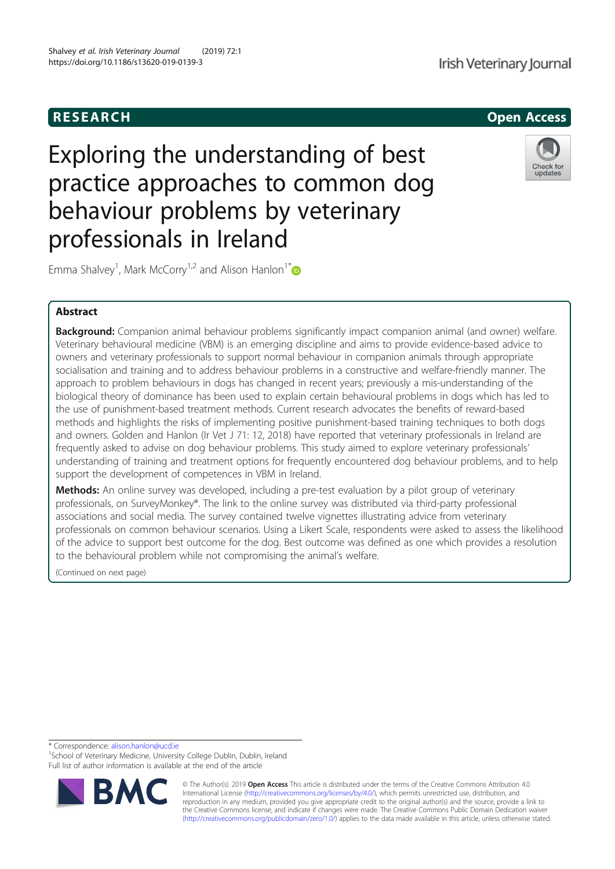### RESEARCH Open Access

# Exploring the understanding of best practice approaches to common dog behaviour problems by veterinary professionals in Ireland



Emma Shalvey<sup>1</sup>, Mark McCorry<sup>1,2</sup> and Alison Hanlon<sup>1\*</sup>

#### Abstract

**Background:** Companion animal behaviour problems significantly impact companion animal (and owner) welfare. Veterinary behavioural medicine (VBM) is an emerging discipline and aims to provide evidence-based advice to owners and veterinary professionals to support normal behaviour in companion animals through appropriate socialisation and training and to address behaviour problems in a constructive and welfare-friendly manner. The approach to problem behaviours in dogs has changed in recent years; previously a mis-understanding of the biological theory of dominance has been used to explain certain behavioural problems in dogs which has led to the use of punishment-based treatment methods. Current research advocates the benefits of reward-based methods and highlights the risks of implementing positive punishment-based training techniques to both dogs and owners. Golden and Hanlon (Ir Vet J 71: 12, 2018) have reported that veterinary professionals in Ireland are frequently asked to advise on dog behaviour problems. This study aimed to explore veterinary professionals' understanding of training and treatment options for frequently encountered dog behaviour problems, and to help support the development of competences in VBM in Ireland.

Methods: An online survey was developed, including a pre-test evaluation by a pilot group of veterinary professionals, on SurveyMonkey®. The link to the online survey was distributed via third-party professional associations and social media. The survey contained twelve vignettes illustrating advice from veterinary professionals on common behaviour scenarios. Using a Likert Scale, respondents were asked to assess the likelihood of the advice to support best outcome for the dog. Best outcome was defined as one which provides a resolution to the behavioural problem while not compromising the animal's welfare.

(Continued on next page)

\* Correspondence: alison.hanlon@ucd.ie <sup>1</sup>

<sup>1</sup>School of Veterinary Medicine, University College Dublin, Dublin, Ireland Full list of author information is available at the end of the article



© The Author(s). 2019 Open Access This article is distributed under the terms of the Creative Commons Attribution 4.0 International License (http://creativecommons.org/licenses/by/4.0/), which permits unrestricted use, distribution, and reproduction in any medium, provided you give appropriate credit to the original author(s) and the source, provide a link to the Creative Commons license, and indicate if changes were made. The Creative Commons Public Domain Dedication waiver (http://creativecommons.org/publicdomain/zero/1.0/) applies to the data made available in this article, unless otherwise stated.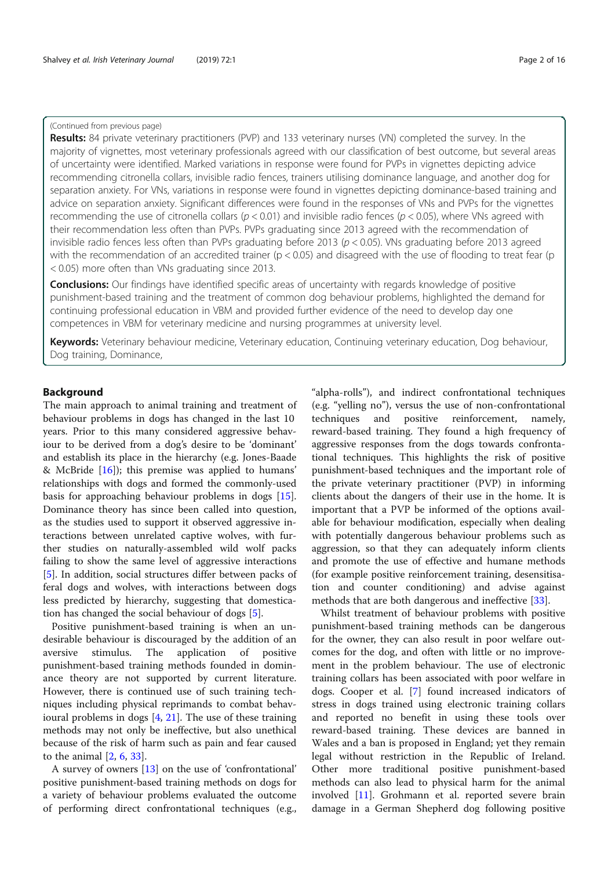#### (Continued from previous page)

Results: 84 private veterinary practitioners (PVP) and 133 veterinary nurses (VN) completed the survey. In the majority of vignettes, most veterinary professionals agreed with our classification of best outcome, but several areas of uncertainty were identified. Marked variations in response were found for PVPs in vignettes depicting advice recommending citronella collars, invisible radio fences, trainers utilising dominance language, and another dog for separation anxiety. For VNs, variations in response were found in vignettes depicting dominance-based training and advice on separation anxiety. Significant differences were found in the responses of VNs and PVPs for the vignettes recommending the use of citronella collars ( $p < 0.01$ ) and invisible radio fences ( $p < 0.05$ ), where VNs agreed with their recommendation less often than PVPs. PVPs graduating since 2013 agreed with the recommendation of invisible radio fences less often than PVPs graduating before 2013 ( $p < 0.05$ ). VNs graduating before 2013 agreed with the recommendation of an accredited trainer ( $p < 0.05$ ) and disagreed with the use of flooding to treat fear ( $p$ < 0.05) more often than VNs graduating since 2013.

**Conclusions:** Our findings have identified specific areas of uncertainty with regards knowledge of positive punishment-based training and the treatment of common dog behaviour problems, highlighted the demand for continuing professional education in VBM and provided further evidence of the need to develop day one competences in VBM for veterinary medicine and nursing programmes at university level.

Keywords: Veterinary behaviour medicine, Veterinary education, Continuing veterinary education, Dog behaviour, Dog training, Dominance,

#### **Background**

The main approach to animal training and treatment of behaviour problems in dogs has changed in the last 10 years. Prior to this many considered aggressive behaviour to be derived from a dog's desire to be 'dominant' and establish its place in the hierarchy (e.g. Jones-Baade & McBride  $[16]$ ; this premise was applied to humans' relationships with dogs and formed the commonly-used basis for approaching behaviour problems in dogs [15]. Dominance theory has since been called into question, as the studies used to support it observed aggressive interactions between unrelated captive wolves, with further studies on naturally-assembled wild wolf packs failing to show the same level of aggressive interactions [5]. In addition, social structures differ between packs of feral dogs and wolves, with interactions between dogs less predicted by hierarchy, suggesting that domestication has changed the social behaviour of dogs [5].

Positive punishment-based training is when an undesirable behaviour is discouraged by the addition of an aversive stimulus. The application of positive punishment-based training methods founded in dominance theory are not supported by current literature. However, there is continued use of such training techniques including physical reprimands to combat behavioural problems in dogs [4, 21]. The use of these training methods may not only be ineffective, but also unethical because of the risk of harm such as pain and fear caused to the animal [2, 6, 33].

A survey of owners [13] on the use of 'confrontational' positive punishment-based training methods on dogs for a variety of behaviour problems evaluated the outcome of performing direct confrontational techniques (e.g.,

"alpha-rolls"), and indirect confrontational techniques (e.g. "yelling no"), versus the use of non-confrontational techniques and positive reinforcement, namely, reward-based training. They found a high frequency of aggressive responses from the dogs towards confrontational techniques. This highlights the risk of positive punishment-based techniques and the important role of the private veterinary practitioner (PVP) in informing clients about the dangers of their use in the home. It is important that a PVP be informed of the options available for behaviour modification, especially when dealing with potentially dangerous behaviour problems such as aggression, so that they can adequately inform clients and promote the use of effective and humane methods (for example positive reinforcement training, desensitisation and counter conditioning) and advise against methods that are both dangerous and ineffective [33].

Whilst treatment of behaviour problems with positive punishment-based training methods can be dangerous for the owner, they can also result in poor welfare outcomes for the dog, and often with little or no improvement in the problem behaviour. The use of electronic training collars has been associated with poor welfare in dogs. Cooper et al. [7] found increased indicators of stress in dogs trained using electronic training collars and reported no benefit in using these tools over reward-based training. These devices are banned in Wales and a ban is proposed in England; yet they remain legal without restriction in the Republic of Ireland. Other more traditional positive punishment-based methods can also lead to physical harm for the animal involved [11]. Grohmann et al. reported severe brain damage in a German Shepherd dog following positive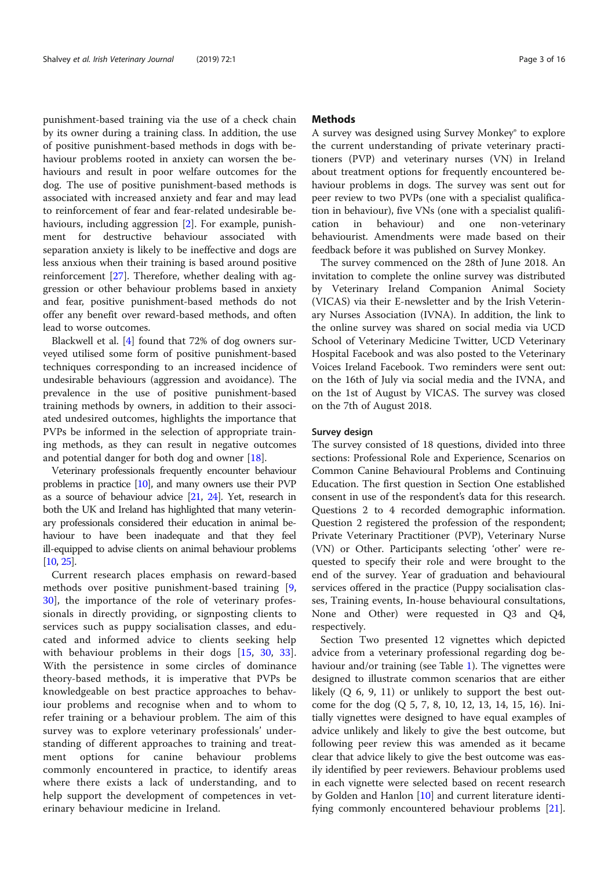punishment-based training via the use of a check chain by its owner during a training class. In addition, the use of positive punishment-based methods in dogs with behaviour problems rooted in anxiety can worsen the behaviours and result in poor welfare outcomes for the dog. The use of positive punishment-based methods is associated with increased anxiety and fear and may lead to reinforcement of fear and fear-related undesirable behaviours, including aggression [2]. For example, punishment for destructive behaviour associated with separation anxiety is likely to be ineffective and dogs are less anxious when their training is based around positive reinforcement [27]. Therefore, whether dealing with aggression or other behaviour problems based in anxiety and fear, positive punishment-based methods do not offer any benefit over reward-based methods, and often lead to worse outcomes.

Blackwell et al. [4] found that 72% of dog owners surveyed utilised some form of positive punishment-based techniques corresponding to an increased incidence of undesirable behaviours (aggression and avoidance). The prevalence in the use of positive punishment-based training methods by owners, in addition to their associated undesired outcomes, highlights the importance that PVPs be informed in the selection of appropriate training methods, as they can result in negative outcomes and potential danger for both dog and owner [18].

Veterinary professionals frequently encounter behaviour problems in practice [10], and many owners use their PVP as a source of behaviour advice [21, 24]. Yet, research in both the UK and Ireland has highlighted that many veterinary professionals considered their education in animal behaviour to have been inadequate and that they feel ill-equipped to advise clients on animal behaviour problems [10, 25].

Current research places emphasis on reward-based methods over positive punishment-based training [9, 30], the importance of the role of veterinary professionals in directly providing, or signposting clients to services such as puppy socialisation classes, and educated and informed advice to clients seeking help with behaviour problems in their dogs [15, 30, 33]. With the persistence in some circles of dominance theory-based methods, it is imperative that PVPs be knowledgeable on best practice approaches to behaviour problems and recognise when and to whom to refer training or a behaviour problem. The aim of this survey was to explore veterinary professionals' understanding of different approaches to training and treatment options for canine behaviour problems commonly encountered in practice, to identify areas where there exists a lack of understanding, and to help support the development of competences in veterinary behaviour medicine in Ireland.

#### Methods

A survey was designed using Survey Monkey® to explore the current understanding of private veterinary practitioners (PVP) and veterinary nurses (VN) in Ireland about treatment options for frequently encountered behaviour problems in dogs. The survey was sent out for peer review to two PVPs (one with a specialist qualification in behaviour), five VNs (one with a specialist qualification in behaviour) and one non-veterinary behaviourist. Amendments were made based on their feedback before it was published on Survey Monkey.

The survey commenced on the 28th of June 2018. An invitation to complete the online survey was distributed by Veterinary Ireland Companion Animal Society (VICAS) via their E-newsletter and by the Irish Veterinary Nurses Association (IVNA). In addition, the link to the online survey was shared on social media via UCD School of Veterinary Medicine Twitter, UCD Veterinary Hospital Facebook and was also posted to the Veterinary Voices Ireland Facebook. Two reminders were sent out: on the 16th of July via social media and the IVNA, and on the 1st of August by VICAS. The survey was closed on the 7th of August 2018.

#### Survey design

The survey consisted of 18 questions, divided into three sections: Professional Role and Experience, Scenarios on Common Canine Behavioural Problems and Continuing Education. The first question in Section One established consent in use of the respondent's data for this research. Questions 2 to 4 recorded demographic information. Question 2 registered the profession of the respondent; Private Veterinary Practitioner (PVP), Veterinary Nurse (VN) or Other. Participants selecting 'other' were requested to specify their role and were brought to the end of the survey. Year of graduation and behavioural services offered in the practice (Puppy socialisation classes, Training events, In-house behavioural consultations, None and Other) were requested in Q3 and Q4, respectively.

Section Two presented 12 vignettes which depicted advice from a veterinary professional regarding dog behaviour and/or training (see Table 1). The vignettes were designed to illustrate common scenarios that are either likely  $(Q 6, 9, 11)$  or unlikely to support the best outcome for the dog (Q 5, 7, 8, 10, 12, 13, 14, 15, 16). Initially vignettes were designed to have equal examples of advice unlikely and likely to give the best outcome, but following peer review this was amended as it became clear that advice likely to give the best outcome was easily identified by peer reviewers. Behaviour problems used in each vignette were selected based on recent research by Golden and Hanlon [10] and current literature identifying commonly encountered behaviour problems [21].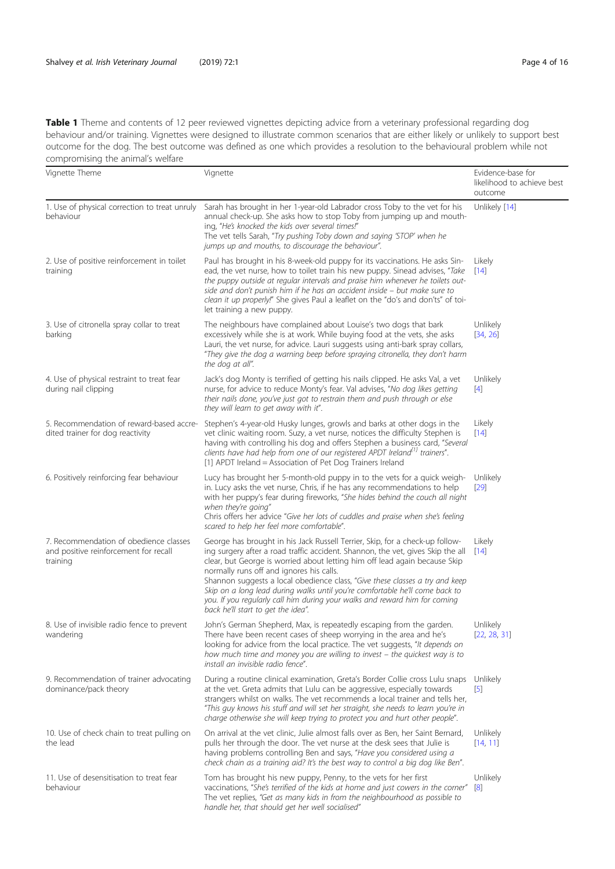Table 1 Theme and contents of 12 peer reviewed vignettes depicting advice from a veterinary professional regarding dog behaviour and/or training. Vignettes were designed to illustrate common scenarios that are either likely or unlikely to support best outcome for the dog. The best outcome was defined as one which provides a resolution to the behavioural problem while not compromising the animal's welfare

| compromising the aritmets weitere                                                           |                                                                                                                                                                                                                                                                                                                                                                                                                                                                                                                                                                               |                                                            |
|---------------------------------------------------------------------------------------------|-------------------------------------------------------------------------------------------------------------------------------------------------------------------------------------------------------------------------------------------------------------------------------------------------------------------------------------------------------------------------------------------------------------------------------------------------------------------------------------------------------------------------------------------------------------------------------|------------------------------------------------------------|
| Vignette Theme                                                                              | Vignette                                                                                                                                                                                                                                                                                                                                                                                                                                                                                                                                                                      | Evidence-base for<br>likelihood to achieve best<br>outcome |
| 1. Use of physical correction to treat unruly<br>behaviour                                  | Sarah has brought in her 1-year-old Labrador cross Toby to the vet for his<br>annual check-up. She asks how to stop Toby from jumping up and mouth-<br>ing, "He's knocked the kids over several times!"<br>The vet tells Sarah, "Try pushing Toby down and saying 'STOP' when he<br>jumps up and mouths, to discourage the behaviour".                                                                                                                                                                                                                                        | Unlikely [14]                                              |
| 2. Use of positive reinforcement in toilet<br>training                                      | Paul has brought in his 8-week-old puppy for its vaccinations. He asks Sin-<br>ead, the vet nurse, how to toilet train his new puppy. Sinead advises, "Take<br>the puppy outside at regular intervals and praise him whenever he toilets out-<br>side and don't punish him if he has an accident inside - but make sure to<br>clean it up properly!" She gives Paul a leaflet on the "do's and don'ts" of toi-<br>let training a new puppy.                                                                                                                                   | Likely<br>$[14]$                                           |
| 3. Use of citronella spray collar to treat<br>barking                                       | The neighbours have complained about Louise's two dogs that bark<br>excessively while she is at work. While buying food at the vets, she asks<br>Lauri, the vet nurse, for advice. Lauri suggests using anti-bark spray collars,<br>"They give the dog a warning beep before spraying citronella, they don't harm<br>the dog at all".                                                                                                                                                                                                                                         | Unlikely<br>[34, 26]                                       |
| 4. Use of physical restraint to treat fear<br>during nail clipping                          | Jack's dog Monty is terrified of getting his nails clipped. He asks Val, a vet<br>nurse, for advice to reduce Monty's fear. Val advises, "No dog likes getting<br>their nails done, you've just got to restrain them and push through or else<br>they will learn to get away with it".                                                                                                                                                                                                                                                                                        | Unlikely<br>$[4]$                                          |
| 5. Recommendation of reward-based accre-<br>dited trainer for dog reactivity                | Stephen's 4-year-old Husky lunges, growls and barks at other dogs in the<br>vet clinic waiting room. Suzy, a vet nurse, notices the difficulty Stephen is<br>having with controlling his dog and offers Stephen a business card, "Several<br>clients have had help from one of our registered APDT Ireland <sup>[1]</sup> trainers".<br>[1] APDT Ireland = Association of Pet Dog Trainers Ireland                                                                                                                                                                            | Likely<br>$[14]$                                           |
| 6. Positively reinforcing fear behaviour                                                    | Lucy has brought her 5-month-old puppy in to the vets for a quick weigh-<br>in. Lucy asks the vet nurse, Chris, if he has any recommendations to help<br>with her puppy's fear during fireworks, "She hides behind the couch all night<br>when they're going"<br>Chris offers her advice "Give her lots of cuddles and praise when she's feeling<br>scared to help her feel more comfortable".                                                                                                                                                                                | Unlikely<br>[29]                                           |
| 7. Recommendation of obedience classes<br>and positive reinforcement for recall<br>training | George has brought in his Jack Russell Terrier, Skip, for a check-up follow-<br>ing surgery after a road traffic accident. Shannon, the vet, gives Skip the all<br>clear, but George is worried about letting him off lead again because Skip<br>normally runs off and ignores his calls.<br>Shannon suggests a local obedience class, "Give these classes a try and keep<br>Skip on a long lead during walks until you're comfortable he'll come back to<br>you. If you regularly call him during your walks and reward him for coming<br>back he'll start to get the idea". | Likely<br>$[14]$                                           |
| 8. Use of invisible radio fence to prevent<br>wandering                                     | John's German Shepherd, Max, is repeatedly escaping from the garden.<br>There have been recent cases of sheep worrying in the area and he's<br>looking for advice from the local practice. The vet suggests, "It depends on<br>how much time and money you are willing to invest - the quickest way is to<br>install an invisible radio fence".                                                                                                                                                                                                                               | Unlikely<br>[22, 28, 31]                                   |
| 9. Recommendation of trainer advocating<br>dominance/pack theory                            | During a routine clinical examination, Greta's Border Collie cross Lulu snaps<br>at the vet. Greta admits that Lulu can be aggressive, especially towards<br>strangers whilst on walks. The vet recommends a local trainer and tells her,<br>"This guy knows his stuff and will set her straight, she needs to learn you're in<br>charge otherwise she will keep trying to protect you and hurt other people".                                                                                                                                                                | Unlikely<br>$\sqrt{5}$                                     |
| 10. Use of check chain to treat pulling on<br>the lead                                      | On arrival at the vet clinic, Julie almost falls over as Ben, her Saint Bernard,<br>pulls her through the door. The vet nurse at the desk sees that Julie is<br>having problems controlling Ben and says, "Have you considered using a<br>check chain as a training aid? It's the best way to control a big dog like Ben".                                                                                                                                                                                                                                                    | Unlikely<br>[14, 11]                                       |
| 11. Use of desensitisation to treat fear<br>behaviour                                       | Tom has brought his new puppy, Penny, to the vets for her first<br>vaccinations, "She's terrified of the kids at home and just cowers in the corner"<br>The vet replies, "Get as many kids in from the neighbourhood as possible to<br>handle her, that should get her well socialised"                                                                                                                                                                                                                                                                                       | Unlikely<br>[8]                                            |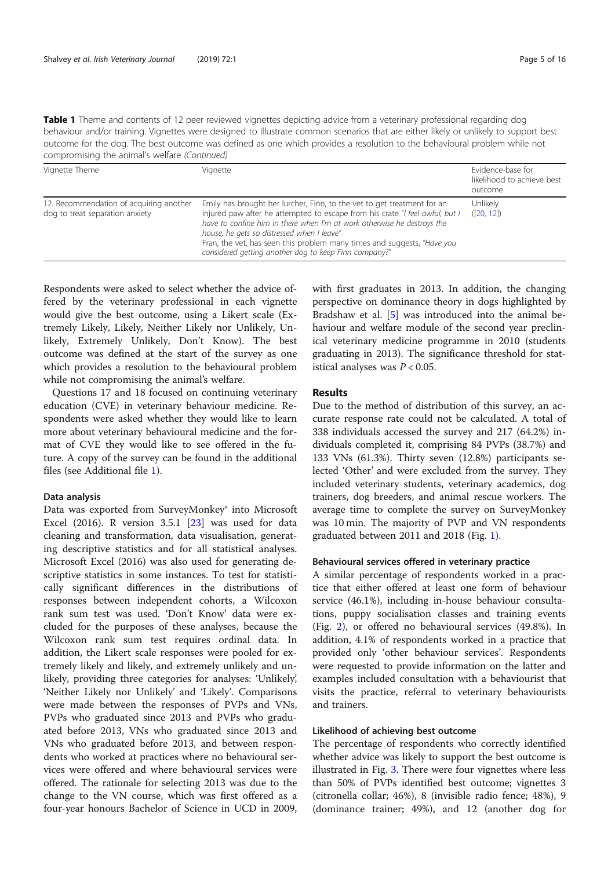Table 1 Theme and contents of 12 peer reviewed vignettes depicting advice from a veterinary professional regarding dog behaviour and/or training. Vignettes were designed to illustrate common scenarios that are either likely or unlikely to support best outcome for the dog. The best outcome was defined as one which provides a resolution to the behavioural problem while not compromising the animal's welfare (Continued)

| Vignette Theme                                                             | Vignette                                                                                                                                                                                                                                                                                                                                                                                                             | Evidence-base for<br>likelihood to achieve best<br>outcome |
|----------------------------------------------------------------------------|----------------------------------------------------------------------------------------------------------------------------------------------------------------------------------------------------------------------------------------------------------------------------------------------------------------------------------------------------------------------------------------------------------------------|------------------------------------------------------------|
| 12. Recommendation of acquiring another<br>dog to treat separation anxiety | Emily has brought her lurcher, Finn, to the vet to get treatment for an<br>injured paw after he attempted to escape from his crate "I feel awful, but I<br>have to confine him in there when I'm at work otherwise he destroys the<br>house, he gets so distressed when I leave"<br>Fran, the vet, has seen this problem many times and suggests, "Have you<br>considered getting another dog to keep Finn company?" | Unlikely<br>([20, 12])                                     |

Respondents were asked to select whether the advice offered by the veterinary professional in each vignette would give the best outcome, using a Likert scale (Extremely Likely, Likely, Neither Likely nor Unlikely, Unlikely, Extremely Unlikely, Don't Know). The best outcome was defined at the start of the survey as one which provides a resolution to the behavioural problem while not compromising the animal's welfare.

Questions 17 and 18 focused on continuing veterinary education (CVE) in veterinary behaviour medicine. Respondents were asked whether they would like to learn more about veterinary behavioural medicine and the format of CVE they would like to see offered in the future. A copy of the survey can be found in the additional files (see Additional file 1).

#### Data analysis

Data was exported from SurveyMonkey® into Microsoft Excel (2016). R version 3.5.1 [23] was used for data cleaning and transformation, data visualisation, generating descriptive statistics and for all statistical analyses. Microsoft Excel (2016) was also used for generating descriptive statistics in some instances. To test for statistically significant differences in the distributions of responses between independent cohorts, a Wilcoxon rank sum test was used. 'Don't Know' data were excluded for the purposes of these analyses, because the Wilcoxon rank sum test requires ordinal data. In addition, the Likert scale responses were pooled for extremely likely and likely, and extremely unlikely and unlikely, providing three categories for analyses: 'Unlikely', 'Neither Likely nor Unlikely' and 'Likely'. Comparisons were made between the responses of PVPs and VNs, PVPs who graduated since 2013 and PVPs who graduated before 2013, VNs who graduated since 2013 and VNs who graduated before 2013, and between respondents who worked at practices where no behavioural services were offered and where behavioural services were offered. The rationale for selecting 2013 was due to the change to the VN course, which was first offered as a four-year honours Bachelor of Science in UCD in 2009,

with first graduates in 2013. In addition, the changing perspective on dominance theory in dogs highlighted by Bradshaw et al. [5] was introduced into the animal behaviour and welfare module of the second year preclinical veterinary medicine programme in 2010 (students graduating in 2013). The significance threshold for statistical analyses was  $P < 0.05$ .

#### Results

Due to the method of distribution of this survey, an accurate response rate could not be calculated. A total of 338 individuals accessed the survey and 217 (64.2%) individuals completed it, comprising 84 PVPs (38.7%) and 133 VNs (61.3%). Thirty seven (12.8%) participants selected 'Other' and were excluded from the survey. They included veterinary students, veterinary academics, dog trainers, dog breeders, and animal rescue workers. The average time to complete the survey on SurveyMonkey was 10 min. The majority of PVP and VN respondents graduated between 2011 and 2018 (Fig. 1).

#### Behavioural services offered in veterinary practice

A similar percentage of respondents worked in a practice that either offered at least one form of behaviour service (46.1%), including in-house behaviour consultations, puppy socialisation classes and training events (Fig. 2), or offered no behavioural services (49.8%). In addition, 4.1% of respondents worked in a practice that provided only 'other behaviour services'. Respondents were requested to provide information on the latter and examples included consultation with a behaviourist that visits the practice, referral to veterinary behaviourists and trainers.

#### Likelihood of achieving best outcome

The percentage of respondents who correctly identified whether advice was likely to support the best outcome is illustrated in Fig. 3. There were four vignettes where less than 50% of PVPs identified best outcome; vignettes 3 (citronella collar; 46%), 8 (invisible radio fence; 48%), 9 (dominance trainer; 49%), and 12 (another dog for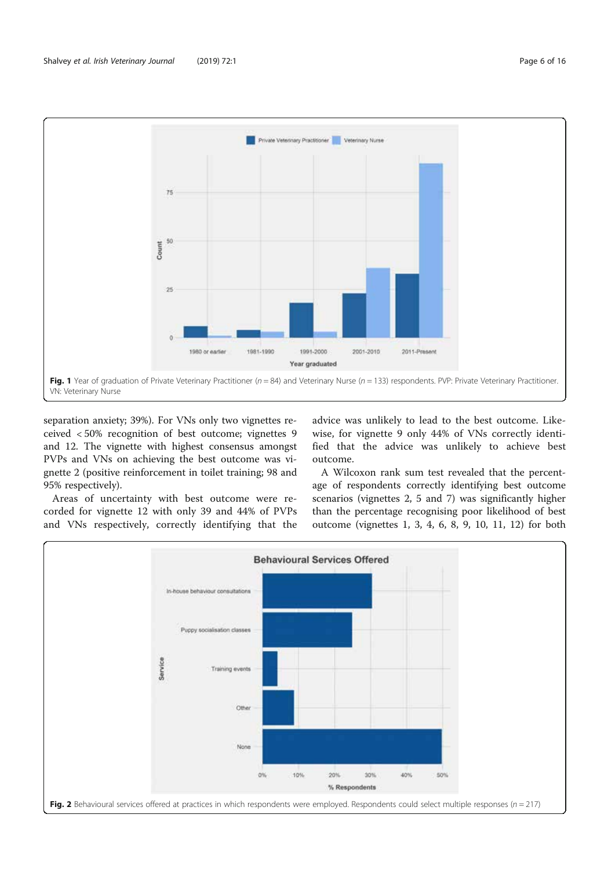

separation anxiety; 39%). For VNs only two vignettes received < 50% recognition of best outcome; vignettes 9 and 12. The vignette with highest consensus amongst PVPs and VNs on achieving the best outcome was vignette 2 (positive reinforcement in toilet training; 98 and 95% respectively).

Areas of uncertainty with best outcome were recorded for vignette 12 with only 39 and 44% of PVPs and VNs respectively, correctly identifying that the

advice was unlikely to lead to the best outcome. Likewise, for vignette 9 only 44% of VNs correctly identified that the advice was unlikely to achieve best outcome.

A Wilcoxon rank sum test revealed that the percentage of respondents correctly identifying best outcome scenarios (vignettes 2, 5 and 7) was significantly higher than the percentage recognising poor likelihood of best outcome (vignettes 1, 3, 4, 6, 8, 9, 10, 11, 12) for both

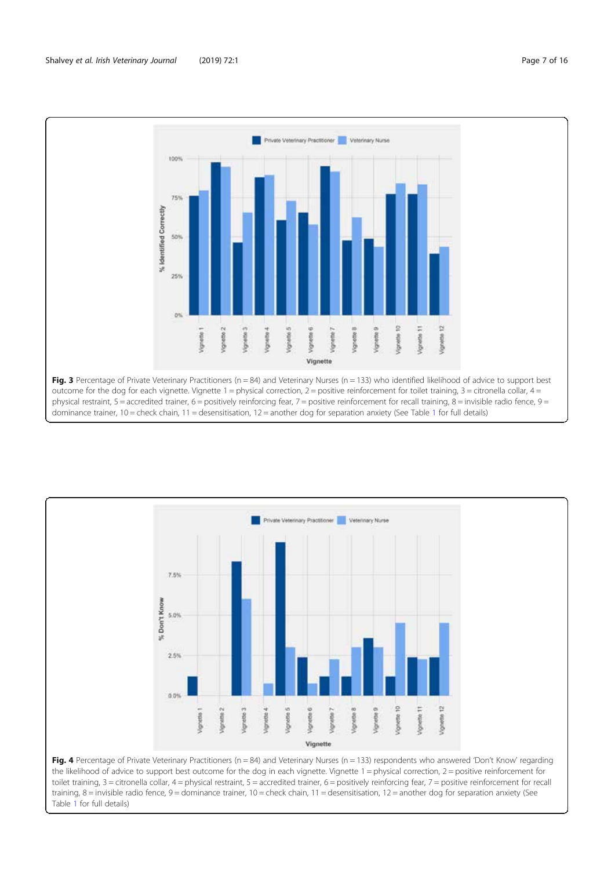



the likelihood of advice to support best outcome for the dog in each vignette. Vignette  $1 =$  physical correction,  $2 =$  positive reinforcement for toilet training, 3 = citronella collar, 4 = physical restraint, 5 = accredited trainer, 6 = positively reinforcing fear, 7 = positive reinforcement for recall training, 8 = invisible radio fence, 9 = dominance trainer, 10 = check chain, 11 = desensitisation, 12 = another dog for separation anxiety (See Table 1 for full details)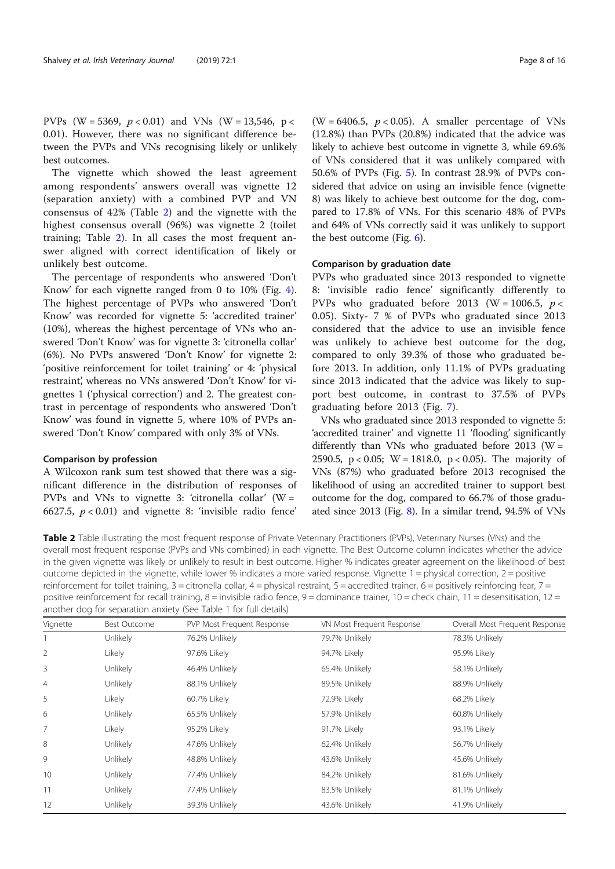PVPs (W = 5369,  $p < 0.01$ ) and VNs (W = 13,546, p < 0.01). However, there was no significant difference between the PVPs and VNs recognising likely or unlikely best outcomes.

The vignette which showed the least agreement among respondents' answers overall was vignette 12 (separation anxiety) with a combined PVP and VN consensus of 42% (Table 2) and the vignette with the highest consensus overall (96%) was vignette 2 (toilet training; Table 2). In all cases the most frequent answer aligned with correct identification of likely or unlikely best outcome.

The percentage of respondents who answered 'Don't Know' for each vignette ranged from 0 to 10% (Fig. 4). The highest percentage of PVPs who answered 'Don't Know' was recorded for vignette 5: 'accredited trainer' (10%), whereas the highest percentage of VNs who answered 'Don't Know' was for vignette 3: 'citronella collar' (6%). No PVPs answered 'Don't Know' for vignette 2: 'positive reinforcement for toilet training' or 4: 'physical restraint', whereas no VNs answered 'Don't Know' for vignettes 1 ('physical correction') and 2. The greatest contrast in percentage of respondents who answered 'Don't Know' was found in vignette 5, where 10% of PVPs answered 'Don't Know' compared with only 3% of VNs.

#### Comparison by profession

A Wilcoxon rank sum test showed that there was a significant difference in the distribution of responses of PVPs and VNs to vignette 3: 'citronella collar' ( $W =$ 6627.5,  $p < 0.01$ ) and vignette 8: 'invisible radio fence'

(W = 6406.5,  $p < 0.05$ ). A smaller percentage of VNs (12.8%) than PVPs (20.8%) indicated that the advice was likely to achieve best outcome in vignette 3, while 69.6% of VNs considered that it was unlikely compared with 50.6% of PVPs (Fig. 5). In contrast 28.9% of PVPs considered that advice on using an invisible fence (vignette 8) was likely to achieve best outcome for the dog, compared to 17.8% of VNs. For this scenario 48% of PVPs and 64% of VNs correctly said it was unlikely to support the best outcome (Fig. 6).

#### Comparison by graduation date

PVPs who graduated since 2013 responded to vignette 8: 'invisible radio fence' significantly differently to PVPs who graduated before 2013 (W = 1006.5,  $p <$ 0.05). Sixty- 7 % of PVPs who graduated since 2013 considered that the advice to use an invisible fence was unlikely to achieve best outcome for the dog, compared to only 39.3% of those who graduated before 2013. In addition, only 11.1% of PVPs graduating since 2013 indicated that the advice was likely to support best outcome, in contrast to 37.5% of PVPs graduating before 2013 (Fig. 7).

VNs who graduated since 2013 responded to vignette 5: 'accredited trainer' and vignette 11 'flooding' significantly differently than VNs who graduated before 2013 ( $W =$ 2590.5, p < 0.05; W = 1818.0, p < 0.05). The majority of VNs (87%) who graduated before 2013 recognised the likelihood of using an accredited trainer to support best outcome for the dog, compared to 66.7% of those graduated since 2013 (Fig. 8). In a similar trend, 94.5% of VNs

Table 2 Table illustrating the most frequent response of Private Veterinary Practitioners (PVPs), Veterinary Nurses (VNs) and the overall most frequent response (PVPs and VNs combined) in each vignette. The Best Outcome column indicates whether the advice in the given vignette was likely or unlikely to result in best outcome. Higher % indicates greater agreement on the likelihood of best outcome depicted in the vignette, while lower % indicates a more varied response. Vignette 1 = physical correction, 2 = positive reinforcement for toilet training,  $3 =$ citronella collar,  $4 =$ physical restraint,  $5 =$ accredited trainer,  $6 =$  positively reinforcing fear,  $7 =$ positive reinforcement for recall training, 8 = invisible radio fence, 9 = dominance trainer, 10 = check chain, 11 = desensitisation, 12 = another dog for separation anxiety (See Table 1 for full details)

| Vignette | Best Outcome | PVP Most Frequent Response | VN Most Frequent Response | Overall Most Frequent Response |
|----------|--------------|----------------------------|---------------------------|--------------------------------|
|          | Unlikely     | 76.2% Unlikely             | 79.7% Unlikely            | 78.3% Unlikely                 |
|          | Likely       | 97.6% Likely               | 94.7% Likely              | 95.9% Likely                   |
| 3        | Unlikely     | 46.4% Unlikely             | 65.4% Unlikely            | 58.1% Unlikely                 |
| 4        | Unlikely     | 88.1% Unlikely             | 89.5% Unlikely            | 88.9% Unlikely                 |
| 5        | Likely       | 60.7% Likely               | 72.9% Likely              | 68.2% Likely                   |
| 6        | Unlikely     | 65.5% Unlikely             | 57.9% Unlikely            | 60.8% Unlikely                 |
|          | Likely       | 95.2% Likely               | 91.7% Likely              | 93.1% Likely                   |
| 8        | Unlikely     | 47.6% Unlikely             | 62.4% Unlikely            | 56.7% Unlikely                 |
| 9        | Unlikely     | 48.8% Unlikely             | 43.6% Unlikely            | 45.6% Unlikely                 |
| 10       | Unlikely     | 77.4% Unlikely             | 84.2% Unlikely            | 81.6% Unlikely                 |
| 11       | Unlikely     | 77.4% Unlikely             | 83.5% Unlikely            | 81.1% Unlikely                 |
| 12       | Unlikely     | 39.3% Unlikely             | 43.6% Unlikely            | 41.9% Unlikely                 |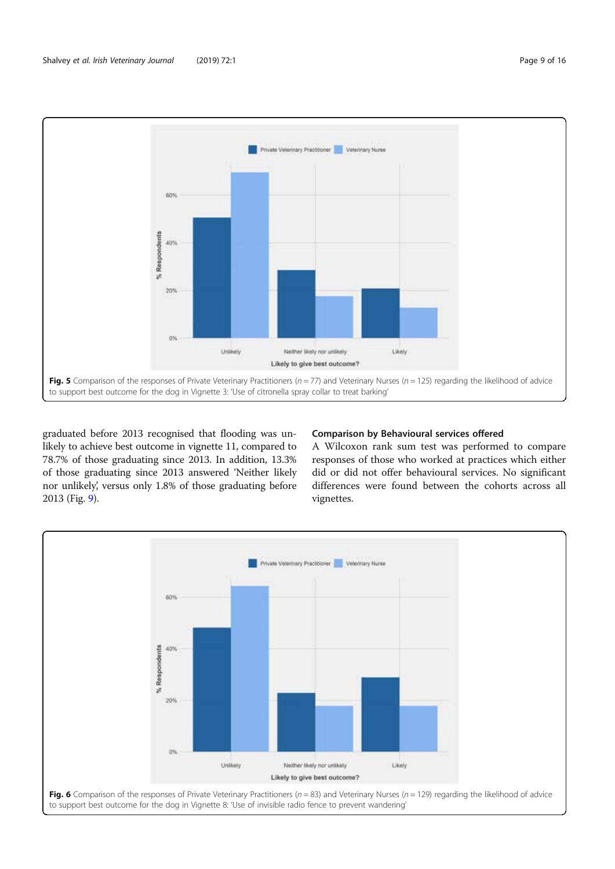

Fig. 5 Comparison of the responses of Private Veterinary Practitioners ( $n = 77$ ) and Veterinary Nurses ( $n = 125$ ) regarding the likelihood of advice to support best outcome for the dog in Vignette 3: 'Use of citronella spray collar to treat barking'

graduated before 2013 recognised that flooding was unlikely to achieve best outcome in vignette 11, compared to 78.7% of those graduating since 2013. In addition, 13.3% of those graduating since 2013 answered 'Neither likely nor unlikely', versus only 1.8% of those graduating before 2013 (Fig. 9).

#### Comparison by Behavioural services offered

A Wilcoxon rank sum test was performed to compare responses of those who worked at practices which either did or did not offer behavioural services. No significant differences were found between the cohorts across all vignettes.

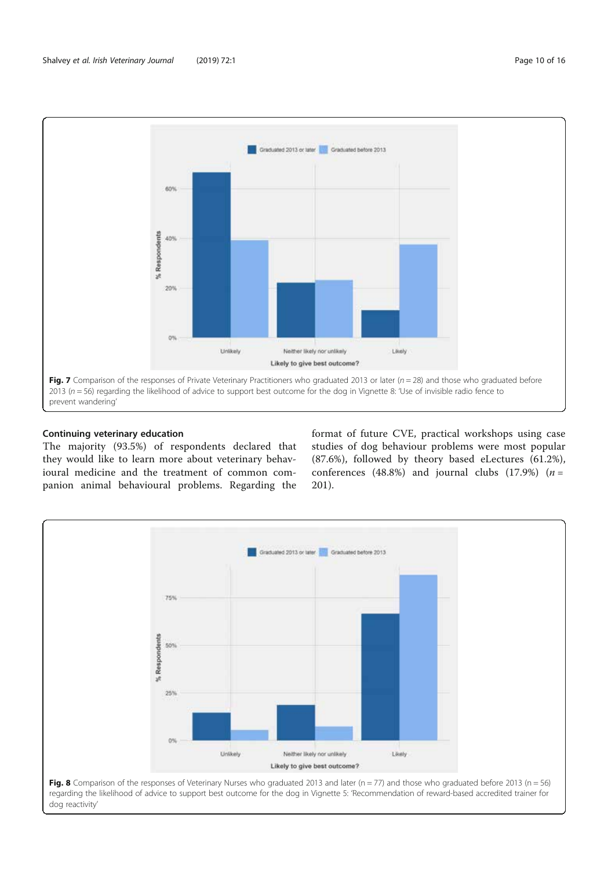

#### Continuing veterinary education

The majority (93.5%) of respondents declared that they would like to learn more about veterinary behavioural medicine and the treatment of common companion animal behavioural problems. Regarding the

format of future CVE, practical workshops using case studies of dog behaviour problems were most popular (87.6%), followed by theory based eLectures (61.2%), conferences (48.8%) and journal clubs (17.9%)  $(n =$ 201).

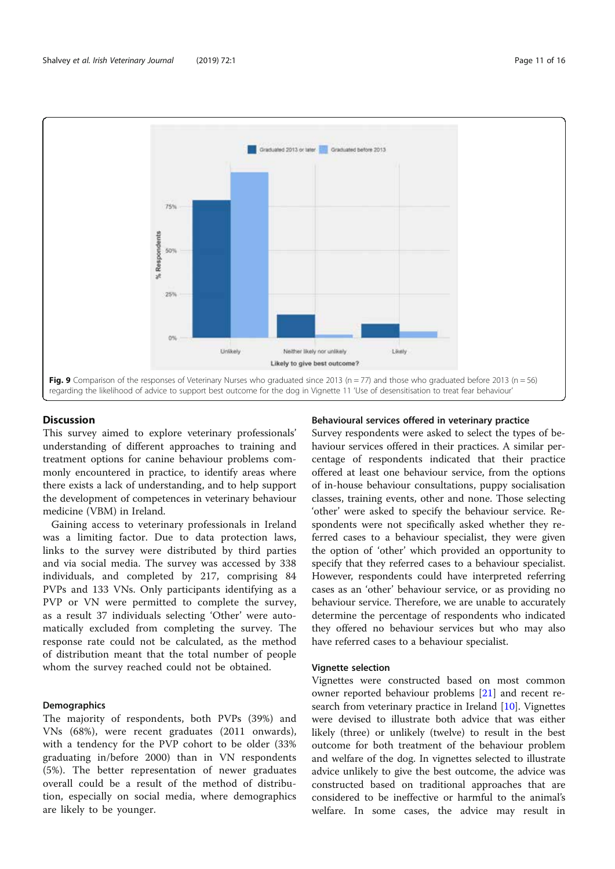

#### **Discussion**

This survey aimed to explore veterinary professionals' understanding of different approaches to training and treatment options for canine behaviour problems commonly encountered in practice, to identify areas where there exists a lack of understanding, and to help support the development of competences in veterinary behaviour medicine (VBM) in Ireland.

Gaining access to veterinary professionals in Ireland was a limiting factor. Due to data protection laws, links to the survey were distributed by third parties and via social media. The survey was accessed by 338 individuals, and completed by 217, comprising 84 PVPs and 133 VNs. Only participants identifying as a PVP or VN were permitted to complete the survey, as a result 37 individuals selecting 'Other' were automatically excluded from completing the survey. The response rate could not be calculated, as the method of distribution meant that the total number of people whom the survey reached could not be obtained.

#### **Demographics**

The majority of respondents, both PVPs (39%) and VNs (68%), were recent graduates (2011 onwards), with a tendency for the PVP cohort to be older (33% graduating in/before 2000) than in VN respondents (5%). The better representation of newer graduates overall could be a result of the method of distribution, especially on social media, where demographics are likely to be younger.

#### Behavioural services offered in veterinary practice

Survey respondents were asked to select the types of behaviour services offered in their practices. A similar percentage of respondents indicated that their practice offered at least one behaviour service, from the options of in-house behaviour consultations, puppy socialisation classes, training events, other and none. Those selecting 'other' were asked to specify the behaviour service. Respondents were not specifically asked whether they referred cases to a behaviour specialist, they were given the option of 'other' which provided an opportunity to specify that they referred cases to a behaviour specialist. However, respondents could have interpreted referring cases as an 'other' behaviour service, or as providing no behaviour service. Therefore, we are unable to accurately determine the percentage of respondents who indicated they offered no behaviour services but who may also have referred cases to a behaviour specialist.

#### Vignette selection

Vignettes were constructed based on most common owner reported behaviour problems [21] and recent research from veterinary practice in Ireland [10]. Vignettes were devised to illustrate both advice that was either likely (three) or unlikely (twelve) to result in the best outcome for both treatment of the behaviour problem and welfare of the dog. In vignettes selected to illustrate advice unlikely to give the best outcome, the advice was constructed based on traditional approaches that are considered to be ineffective or harmful to the animal's welfare. In some cases, the advice may result in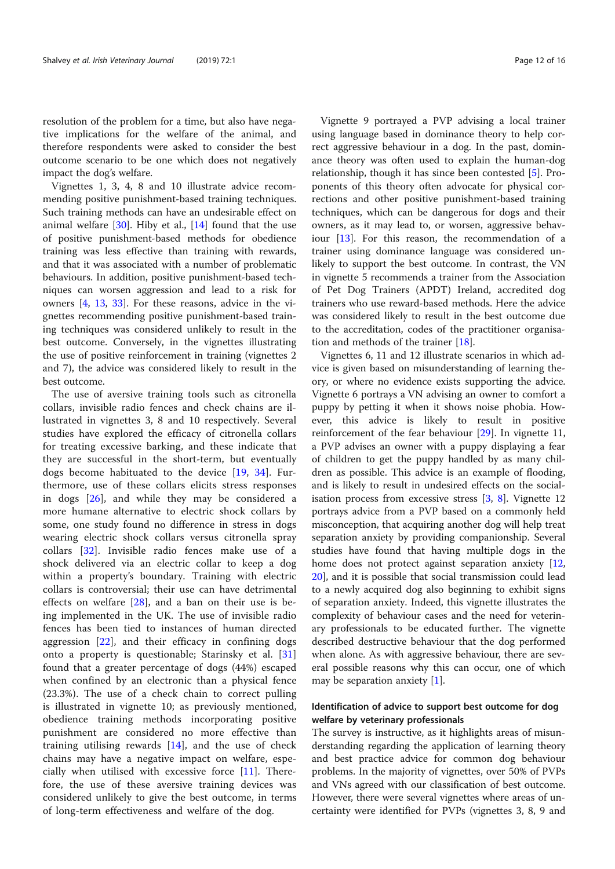resolution of the problem for a time, but also have negative implications for the welfare of the animal, and therefore respondents were asked to consider the best outcome scenario to be one which does not negatively impact the dog's welfare.

Vignettes 1, 3, 4, 8 and 10 illustrate advice recommending positive punishment-based training techniques. Such training methods can have an undesirable effect on animal welfare  $[30]$ . Hiby et al.,  $[14]$  found that the use of positive punishment-based methods for obedience training was less effective than training with rewards, and that it was associated with a number of problematic behaviours. In addition, positive punishment-based techniques can worsen aggression and lead to a risk for owners [4, 13, 33]. For these reasons, advice in the vignettes recommending positive punishment-based training techniques was considered unlikely to result in the best outcome. Conversely, in the vignettes illustrating the use of positive reinforcement in training (vignettes 2 and 7), the advice was considered likely to result in the best outcome.

The use of aversive training tools such as citronella collars, invisible radio fences and check chains are illustrated in vignettes 3, 8 and 10 respectively. Several studies have explored the efficacy of citronella collars for treating excessive barking, and these indicate that they are successful in the short-term, but eventually dogs become habituated to the device [19, 34]. Furthermore, use of these collars elicits stress responses in dogs [26], and while they may be considered a more humane alternative to electric shock collars by some, one study found no difference in stress in dogs wearing electric shock collars versus citronella spray collars [32]. Invisible radio fences make use of a shock delivered via an electric collar to keep a dog within a property's boundary. Training with electric collars is controversial; their use can have detrimental effects on welfare  $[28]$ , and a ban on their use is being implemented in the UK. The use of invisible radio fences has been tied to instances of human directed aggression  $[22]$ , and their efficacy in confining dogs onto a property is questionable; Starinsky et al. [31] found that a greater percentage of dogs (44%) escaped when confined by an electronic than a physical fence (23.3%). The use of a check chain to correct pulling is illustrated in vignette 10; as previously mentioned, obedience training methods incorporating positive punishment are considered no more effective than training utilising rewards [14], and the use of check chains may have a negative impact on welfare, especially when utilised with excessive force [11]. Therefore, the use of these aversive training devices was considered unlikely to give the best outcome, in terms of long-term effectiveness and welfare of the dog.

Vignette 9 portrayed a PVP advising a local trainer using language based in dominance theory to help correct aggressive behaviour in a dog. In the past, dominance theory was often used to explain the human-dog relationship, though it has since been contested [5]. Proponents of this theory often advocate for physical corrections and other positive punishment-based training techniques, which can be dangerous for dogs and their owners, as it may lead to, or worsen, aggressive behaviour [13]. For this reason, the recommendation of a trainer using dominance language was considered unlikely to support the best outcome. In contrast, the VN in vignette 5 recommends a trainer from the Association of Pet Dog Trainers (APDT) Ireland, accredited dog trainers who use reward-based methods. Here the advice was considered likely to result in the best outcome due to the accreditation, codes of the practitioner organisation and methods of the trainer [18].

Vignettes 6, 11 and 12 illustrate scenarios in which advice is given based on misunderstanding of learning theory, or where no evidence exists supporting the advice. Vignette 6 portrays a VN advising an owner to comfort a puppy by petting it when it shows noise phobia. However, this advice is likely to result in positive reinforcement of the fear behaviour [29]. In vignette 11, a PVP advises an owner with a puppy displaying a fear of children to get the puppy handled by as many children as possible. This advice is an example of flooding, and is likely to result in undesired effects on the socialisation process from excessive stress [3, 8]. Vignette 12 portrays advice from a PVP based on a commonly held misconception, that acquiring another dog will help treat separation anxiety by providing companionship. Several studies have found that having multiple dogs in the home does not protect against separation anxiety [12, 20], and it is possible that social transmission could lead to a newly acquired dog also beginning to exhibit signs of separation anxiety. Indeed, this vignette illustrates the complexity of behaviour cases and the need for veterinary professionals to be educated further. The vignette described destructive behaviour that the dog performed when alone. As with aggressive behaviour, there are several possible reasons why this can occur, one of which may be separation anxiety [1].

#### Identification of advice to support best outcome for dog welfare by veterinary professionals

The survey is instructive, as it highlights areas of misunderstanding regarding the application of learning theory and best practice advice for common dog behaviour problems. In the majority of vignettes, over 50% of PVPs and VNs agreed with our classification of best outcome. However, there were several vignettes where areas of uncertainty were identified for PVPs (vignettes 3, 8, 9 and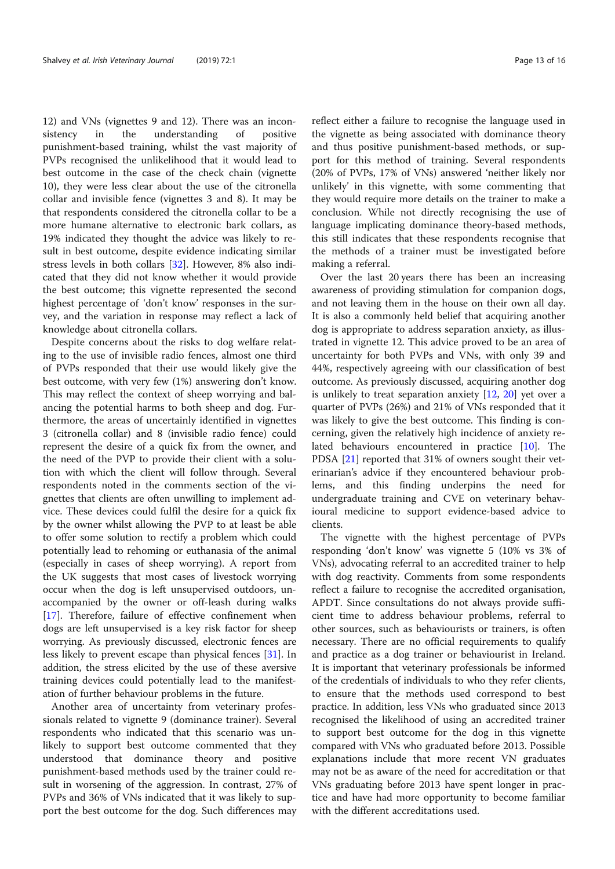12) and VNs (vignettes 9 and 12). There was an inconsistency in the understanding of positive punishment-based training, whilst the vast majority of PVPs recognised the unlikelihood that it would lead to best outcome in the case of the check chain (vignette 10), they were less clear about the use of the citronella collar and invisible fence (vignettes 3 and 8). It may be that respondents considered the citronella collar to be a more humane alternative to electronic bark collars, as 19% indicated they thought the advice was likely to result in best outcome, despite evidence indicating similar stress levels in both collars [32]. However, 8% also indicated that they did not know whether it would provide the best outcome; this vignette represented the second highest percentage of 'don't know' responses in the survey, and the variation in response may reflect a lack of knowledge about citronella collars.

Despite concerns about the risks to dog welfare relating to the use of invisible radio fences, almost one third of PVPs responded that their use would likely give the best outcome, with very few (1%) answering don't know. This may reflect the context of sheep worrying and balancing the potential harms to both sheep and dog. Furthermore, the areas of uncertainly identified in vignettes 3 (citronella collar) and 8 (invisible radio fence) could represent the desire of a quick fix from the owner, and the need of the PVP to provide their client with a solution with which the client will follow through. Several respondents noted in the comments section of the vignettes that clients are often unwilling to implement advice. These devices could fulfil the desire for a quick fix by the owner whilst allowing the PVP to at least be able to offer some solution to rectify a problem which could potentially lead to rehoming or euthanasia of the animal (especially in cases of sheep worrying). A report from the UK suggests that most cases of livestock worrying occur when the dog is left unsupervised outdoors, unaccompanied by the owner or off-leash during walks [17]. Therefore, failure of effective confinement when dogs are left unsupervised is a key risk factor for sheep worrying. As previously discussed, electronic fences are less likely to prevent escape than physical fences [31]. In addition, the stress elicited by the use of these aversive training devices could potentially lead to the manifestation of further behaviour problems in the future.

Another area of uncertainty from veterinary professionals related to vignette 9 (dominance trainer). Several respondents who indicated that this scenario was unlikely to support best outcome commented that they understood that dominance theory and positive punishment-based methods used by the trainer could result in worsening of the aggression. In contrast, 27% of PVPs and 36% of VNs indicated that it was likely to support the best outcome for the dog. Such differences may

reflect either a failure to recognise the language used in the vignette as being associated with dominance theory and thus positive punishment-based methods, or support for this method of training. Several respondents (20% of PVPs, 17% of VNs) answered 'neither likely nor unlikely' in this vignette, with some commenting that they would require more details on the trainer to make a conclusion. While not directly recognising the use of language implicating dominance theory-based methods, this still indicates that these respondents recognise that the methods of a trainer must be investigated before making a referral.

Over the last 20 years there has been an increasing awareness of providing stimulation for companion dogs, and not leaving them in the house on their own all day. It is also a commonly held belief that acquiring another dog is appropriate to address separation anxiety, as illustrated in vignette 12. This advice proved to be an area of uncertainty for both PVPs and VNs, with only 39 and 44%, respectively agreeing with our classification of best outcome. As previously discussed, acquiring another dog is unlikely to treat separation anxiety [12, 20] yet over a quarter of PVPs (26%) and 21% of VNs responded that it was likely to give the best outcome. This finding is concerning, given the relatively high incidence of anxiety related behaviours encountered in practice [10]. The PDSA [21] reported that 31% of owners sought their veterinarian's advice if they encountered behaviour problems, and this finding underpins the need for undergraduate training and CVE on veterinary behavioural medicine to support evidence-based advice to clients.

The vignette with the highest percentage of PVPs responding 'don't know' was vignette 5 (10% vs 3% of VNs), advocating referral to an accredited trainer to help with dog reactivity. Comments from some respondents reflect a failure to recognise the accredited organisation, APDT. Since consultations do not always provide sufficient time to address behaviour problems, referral to other sources, such as behaviourists or trainers, is often necessary. There are no official requirements to qualify and practice as a dog trainer or behaviourist in Ireland. It is important that veterinary professionals be informed of the credentials of individuals to who they refer clients, to ensure that the methods used correspond to best practice. In addition, less VNs who graduated since 2013 recognised the likelihood of using an accredited trainer to support best outcome for the dog in this vignette compared with VNs who graduated before 2013. Possible explanations include that more recent VN graduates may not be as aware of the need for accreditation or that VNs graduating before 2013 have spent longer in practice and have had more opportunity to become familiar with the different accreditations used.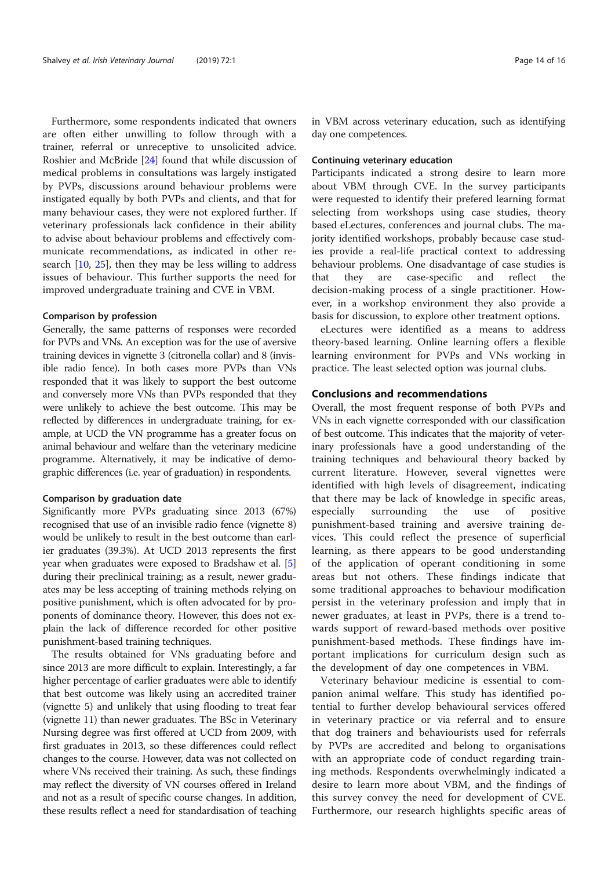Furthermore, some respondents indicated that owners are often either unwilling to follow through with a trainer, referral or unreceptive to unsolicited advice. Roshier and McBride [24] found that while discussion of medical problems in consultations was largely instigated by PVPs, discussions around behaviour problems were instigated equally by both PVPs and clients, and that for many behaviour cases, they were not explored further. If veterinary professionals lack confidence in their ability to advise about behaviour problems and effectively communicate recommendations, as indicated in other research [10, 25], then they may be less willing to address issues of behaviour. This further supports the need for improved undergraduate training and CVE in VBM.

#### Comparison by profession

Generally, the same patterns of responses were recorded for PVPs and VNs. An exception was for the use of aversive training devices in vignette 3 (citronella collar) and 8 (invisible radio fence). In both cases more PVPs than VNs responded that it was likely to support the best outcome and conversely more VNs than PVPs responded that they were unlikely to achieve the best outcome. This may be reflected by differences in undergraduate training, for example, at UCD the VN programme has a greater focus on animal behaviour and welfare than the veterinary medicine programme. Alternatively, it may be indicative of demographic differences (i.e. year of graduation) in respondents.

#### Comparison by graduation date

Significantly more PVPs graduating since 2013 (67%) recognised that use of an invisible radio fence (vignette 8) would be unlikely to result in the best outcome than earlier graduates (39.3%). At UCD 2013 represents the first year when graduates were exposed to Bradshaw et al. [5] during their preclinical training; as a result, newer graduates may be less accepting of training methods relying on positive punishment, which is often advocated for by proponents of dominance theory. However, this does not explain the lack of difference recorded for other positive punishment-based training techniques.

The results obtained for VNs graduating before and since 2013 are more difficult to explain. Interestingly, a far higher percentage of earlier graduates were able to identify that best outcome was likely using an accredited trainer (vignette 5) and unlikely that using flooding to treat fear (vignette 11) than newer graduates. The BSc in Veterinary Nursing degree was first offered at UCD from 2009, with first graduates in 2013, so these differences could reflect changes to the course. However, data was not collected on where VNs received their training. As such, these findings may reflect the diversity of VN courses offered in Ireland and not as a result of specific course changes. In addition, these results reflect a need for standardisation of teaching

in VBM across veterinary education, such as identifying day one competences.

#### Continuing veterinary education

Participants indicated a strong desire to learn more about VBM through CVE. In the survey participants were requested to identify their prefered learning format selecting from workshops using case studies, theory based eLectures, conferences and journal clubs. The majority identified workshops, probably because case studies provide a real-life practical context to addressing behaviour problems. One disadvantage of case studies is that they are case-specific and reflect the decision-making process of a single practitioner. However, in a workshop environment they also provide a basis for discussion, to explore other treatment options.

eLectures were identified as a means to address theory-based learning. Online learning offers a flexible learning environment for PVPs and VNs working in practice. The least selected option was journal clubs.

#### Conclusions and recommendations

Overall, the most frequent response of both PVPs and VNs in each vignette corresponded with our classification of best outcome. This indicates that the majority of veterinary professionals have a good understanding of the training techniques and behavioural theory backed by current literature. However, several vignettes were identified with high levels of disagreement, indicating that there may be lack of knowledge in specific areas, especially surrounding the use of positive punishment-based training and aversive training devices. This could reflect the presence of superficial learning, as there appears to be good understanding of the application of operant conditioning in some areas but not others. These findings indicate that some traditional approaches to behaviour modification persist in the veterinary profession and imply that in newer graduates, at least in PVPs, there is a trend towards support of reward-based methods over positive punishment-based methods. These findings have important implications for curriculum design such as the development of day one competences in VBM.

Veterinary behaviour medicine is essential to companion animal welfare. This study has identified potential to further develop behavioural services offered in veterinary practice or via referral and to ensure that dog trainers and behaviourists used for referrals by PVPs are accredited and belong to organisations with an appropriate code of conduct regarding training methods. Respondents overwhelmingly indicated a desire to learn more about VBM, and the findings of this survey convey the need for development of CVE. Furthermore, our research highlights specific areas of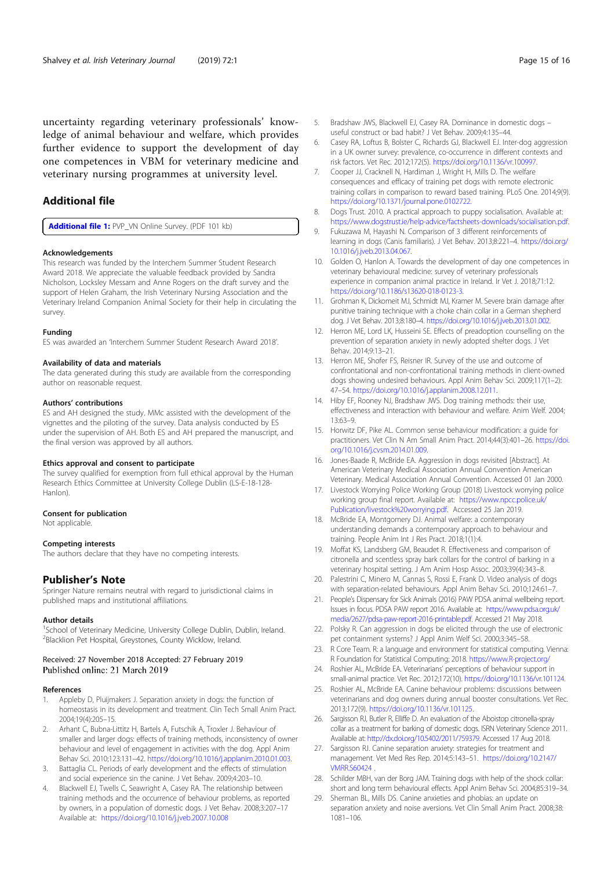uncertainty regarding veterinary professionals' knowledge of animal behaviour and welfare, which provides further evidence to support the development of day one competences in VBM for veterinary medicine and veterinary nursing programmes at university level.

#### Additional file

Additional file 1: PVP\_VN Online Survey. (PDF 101 kb)

#### Acknowledgements

This research was funded by the Interchem Summer Student Research Award 2018. We appreciate the valuable feedback provided by Sandra Nicholson, Locksley Messam and Anne Rogers on the draft survey and the support of Helen Graham, the Irish Veterinary Nursing Association and the Veterinary Ireland Companion Animal Society for their help in circulating the survey.

#### Funding

ES was awarded an 'Interchem Summer Student Research Award 2018'.

#### Availability of data and materials

The data generated during this study are available from the corresponding author on reasonable request.

#### Authors' contributions

ES and AH designed the study. MMc assisted with the development of the vignettes and the piloting of the survey. Data analysis conducted by ES under the supervision of AH. Both ES and AH prepared the manuscript, and the final version was approved by all authors.

#### Ethics approval and consent to participate

The survey qualified for exemption from full ethical approval by the Human Research Ethics Committee at University College Dublin (LS-E-18-128- Hanlon).

#### Consent for publication

Not applicable.

#### Competing interests

The authors declare that they have no competing interests.

#### Publisher's Note

Springer Nature remains neutral with regard to jurisdictional claims in published maps and institutional affiliations.

#### Author details

<sup>1</sup>School of Veterinary Medicine, University College Dublin, Dublin, Ireland. 2 Blacklion Pet Hospital, Greystones, County Wicklow, Ireland.

## Received: 27 November 2018 Accepted: 27 February 2019<br>Published online: 21 March 2019

#### References

- 1. Appleby D, Pluijmakers J. Separation anxiety in dogs: the function of homeostasis in its development and treatment. Clin Tech Small Anim Pract. 2004;19(4):205–15.
- 2. Arhant C, Bubna-Littitz H, Bartels A, Futschik A, Troxler J. Behaviour of smaller and larger dogs: effects of training methods, inconsistency of owner behaviour and level of engagement in activities with the dog. Appl Anim Behav Sci. 2010;123:131–42. https://doi.org/10.1016/j.applanim.2010.01.003.
- 3. Battaglia CL. Periods of early development and the effects of stimulation and social experience sin the canine. J Vet Behav. 2009;4:203–10.
- 4. Blackwell EJ, Twells C, Seawright A, Casey RA. The relationship between training methods and the occurrence of behaviour problems, as reported by owners, in a population of domestic dogs. J Vet Behav. 2008;3:207–17 Available at: https://doi.org/10.1016/j.jveb.2007.10.008
- 5. Bradshaw JWS, Blackwell EJ, Casey RA. Dominance in domestic dogs useful construct or bad habit? J Vet Behav. 2009;4:135–44.
- 6. Casey RA, Loftus B, Bolster C, Richards GJ, Blackwell EJ. Inter-dog aggression in a UK owner survey: prevalence, co-occurrence in different contexts and risk factors. Vet Rec. 2012;172(5). https://doi.org/10.1136/vr.100997.
- 7. Cooper JJ, Cracknell N, Hardiman J, Wright H, Mills D. The welfare consequences and efficacy of training pet dogs with remote electronic training collars in comparison to reward based training. PLoS One. 2014;9(9). https://doi.org/10.1371/journal.pone.0102722.
- 8. Dogs Trust. 2010. A practical approach to puppy socialisation. Available at: https://www.dogstrust.ie/help-advice/factsheets-downloads/socialisation.pdf.
- 9. Fukuzawa M, Hayashi N. Comparison of 3 different reinforcements of learning in dogs (Canis familiaris). J Vet Behav. 2013;8:221–4. https://doi.org/ 10.1016/j.jveb.2013.04.067.
- 10. Golden O, Hanlon A. Towards the development of day one competences in veterinary behavioural medicine: survey of veterinary professionals experience in companion animal practice in Ireland. Ir Vet J. 2018;71:12. https://doi.org/10.1186/s13620-018-0123-3.
- 11. Grohman K, Dickomeit MJ, Schmidt MJ, Kramer M. Severe brain damage after punitive training technique with a choke chain collar in a German shepherd dog. J Vet Behav. 2013;8:180–4. https://doi.org/10.1016/j.jveb.2013.01.002.
- 12. Herron ME, Lord LK, Husseini SE. Effects of preadoption counselling on the prevention of separation anxiety in newly adopted shelter dogs. J Vet Behav. 2014;9:13–21.
- 13. Herron ME, Shofer FS, Reisner IR. Survey of the use and outcome of confrontational and non-confrontational training methods in client-owned dogs showing undesired behaviours. Appl Anim Behav Sci. 2009;117(1–2): 47–54. https://doi.org/10.1016/j.applanim.2008.12.011.
- 14. Hiby EF, Rooney NJ, Bradshaw JWS. Dog training methods: their use, effectiveness and interaction with behaviour and welfare. Anim Welf. 2004; 13:63–9.
- 15. Horwitz DF, Pike AL. Common sense behaviour modification: a guide for practitioners. Vet Clin N Am Small Anim Pract. 2014;44(3):401–26. https://doi. org/10.1016/j.cvsm.2014.01.009.
- 16. Jones-Baade R, McBride EA. Aggression in dogs revisited [Abstract]. At American Veterinary Medical Association Annual Convention American Veterinary. Medical Association Annual Convention. Accessed 01 Jan 2000.
- 17. Livestock Worrying Police Working Group (2018) Livestock worrying police working group final report. Available at: https://www.npcc.police.uk/ Publication/livestock%20worrying.pdf. Accessed 25 Jan 2019.
- 18. McBride EA, Montgomery DJ. Animal welfare: a contemporary understanding demands a contemporary approach to behaviour and training. People Anim Int J Res Pract. 2018;1(1):4.
- 19. Moffat KS, Landsberg GM, Beaudet R. Effectiveness and comparison of citronella and scentless spray bark collars for the control of barking in a veterinary hospital setting. J Am Anim Hosp Assoc. 2003;39(4):343–8.
- 20. Palestrini C, Minero M, Cannas S, Rossi E, Frank D. Video analysis of dogs with separation-related behaviours. Appl Anim Behav Sci. 2010;124:61–7.
- 21. People's Dispensary for Sick Animals (2016) PAW PDSA animal wellbeing report. Issues in focus. PDSA PAW report 2016. Available at: https://www.pdsa.org.uk/ media/2627/pdsa-paw-report-2016-printable.pdf. Accessed 21 May 2018.
- 22. Polsky R. Can aggression in dogs be elicited through the use of electronic pet containment systems? J Appl Anim Welf Sci. 2000;3:345–58.
- 23. R Core Team. R: a language and environment for statistical computing. Vienna: R Foundation for Statistical Computing; 2018. https://www.R-project.org/
- 24. Roshier AL, McBride EA. Veterinarians' perceptions of behaviour support in small-animal practice. Vet Rec. 2012;172(10). https://doi.org/10.1136/vr.101124.
- 25. Roshier AL, McBride EA. Canine behaviour problems: discussions between veterinarians and dog owners during annual booster consultations. Vet Rec. 2013;172(9). https://doi.org/10.1136/vr.101125.
- 26. Sargisson RJ, Butler R, Elliffe D. An evaluation of the Aboistop citronella-spray collar as a treatment for barking of domestic dogs. ISRN Veterinary Science 2011. Available at: http://dx.doi.org/10.5402/2011/759379. Accessed 17 Aug 2018.
- 27. Sargisson RJ. Canine separation anxiety: strategies for treatment and management. Vet Med Res Rep. 2014;5:143–51. https://doi.org/10.2147/ VMRR.S60424 .
- 28. Schilder MBH, van der Borg JAM. Training dogs with help of the shock collar: short and long term behavioural effects. Appl Anim Behav Sci. 2004;85:319–34.
- 29. Sherman BL, Mills DS. Canine anxieties and phobias: an update on separation anxiety and noise aversions. Vet Clin Small Anim Pract. 2008;38: 1081–106.